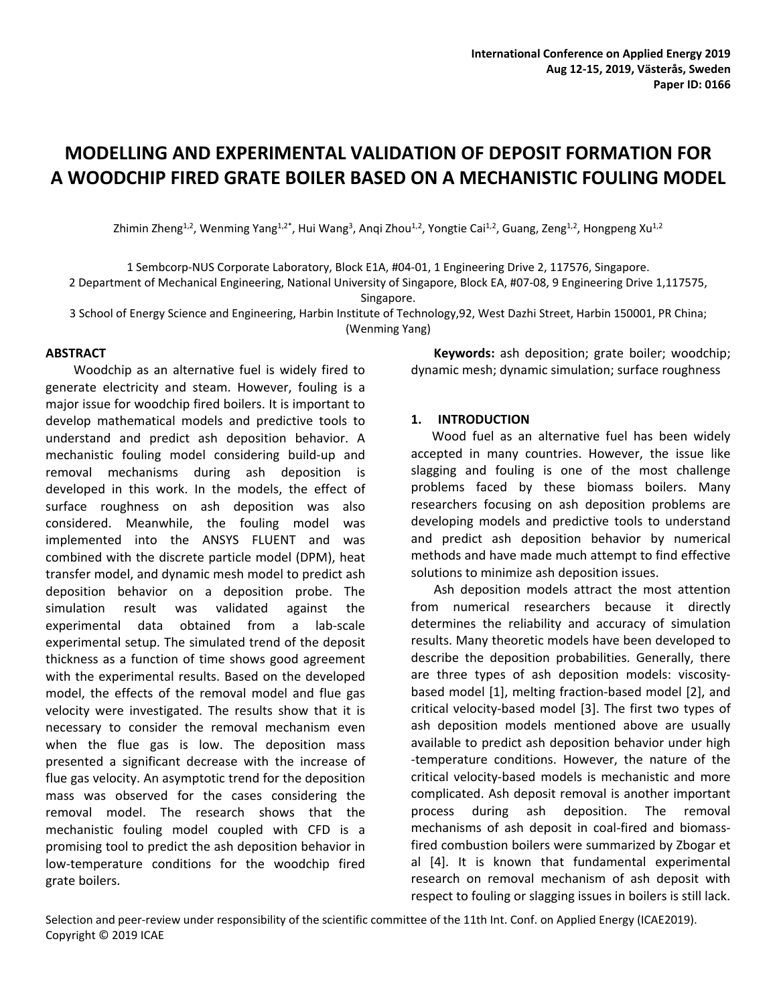# **MODELLING AND EXPERIMENTAL VALIDATION OF DEPOSIT FORMATION FOR A WOODCHIP FIRED GRATE BOILER BASED ON A MECHANISTIC FOULING MODEL**

Zhimin Zheng<sup>1,2</sup>, Wenming Yang<sup>1,2\*</sup>, Hui Wang<sup>3</sup>, Anqi Zhou<sup>1,2</sup>, Yongtie Cai<sup>1,2</sup>, Guang, Zeng<sup>1,2</sup>, Hongpeng Xu<sup>1,2</sup>

1 Sembcorp‐NUS Corporate Laboratory, Block E1A, #04‐01, 1 Engineering Drive 2, 117576, Singapore.

2 Department of Mechanical Engineering, National University of Singapore, Block EA, #07‐08, 9 Engineering Drive 1,117575, Singapore.

3 School of Energy Science and Engineering, Harbin Institute of Technology,92, West Dazhi Street, Harbin 150001, PR China; (Wenming Yang)

**ABSTRACT** 

Woodchip as an alternative fuel is widely fired to generate electricity and steam. However, fouling is a major issue for woodchip fired boilers. It is important to develop mathematical models and predictive tools to understand and predict ash deposition behavior. A mechanistic fouling model considering build‐up and removal mechanisms during ash deposition is developed in this work. In the models, the effect of surface roughness on ash deposition was also considered. Meanwhile, the fouling model was implemented into the ANSYS FLUENT and was combined with the discrete particle model (DPM), heat transfer model, and dynamic mesh model to predict ash deposition behavior on a deposition probe. The simulation result was validated against the experimental data obtained from a lab-scale experimental setup. The simulated trend of the deposit thickness as a function of time shows good agreement with the experimental results. Based on the developed model, the effects of the removal model and flue gas velocity were investigated. The results show that it is necessary to consider the removal mechanism even when the flue gas is low. The deposition mass presented a significant decrease with the increase of flue gas velocity. An asymptotic trend for the deposition mass was observed for the cases considering the removal model. The research shows that the mechanistic fouling model coupled with CFD is a promising tool to predict the ash deposition behavior in low-temperature conditions for the woodchip fired grate boilers.

**Keywords:** ash deposition; grate boiler; woodchip; dynamic mesh; dynamic simulation; surface roughness

## **1. INTRODUCTION**

Wood fuel as an alternative fuel has been widely accepted in many countries. However, the issue like slagging and fouling is one of the most challenge problems faced by these biomass boilers. Many researchers focusing on ash deposition problems are developing models and predictive tools to understand and predict ash deposition behavior by numerical methods and have made much attempt to find effective solutions to minimize ash deposition issues.

Ash deposition models attract the most attention from numerical researchers because it directly determines the reliability and accuracy of simulation results. Many theoretic models have been developed to describe the deposition probabilities. Generally, there are three types of ash deposition models: viscosity‐ based model [1], melting fraction‐based model [2], and critical velocity‐based model [3]. The first two types of ash deposition models mentioned above are usually available to predict ash deposition behavior under high ‐temperature conditions. However, the nature of the critical velocity‐based models is mechanistic and more complicated. Ash deposit removal is another important process during ash deposition. The removal mechanisms of ash deposit in coal‐fired and biomass‐ fired combustion boilers were summarized by Zbogar et al [4]. It is known that fundamental experimental research on removal mechanism of ash deposit with respect to fouling or slagging issues in boilers is still lack.

Selection and peer-review under responsibility of the scientific committee of the 11th Int. Conf. on Applied Energy (ICAE2019). Copyright © 2019 ICAE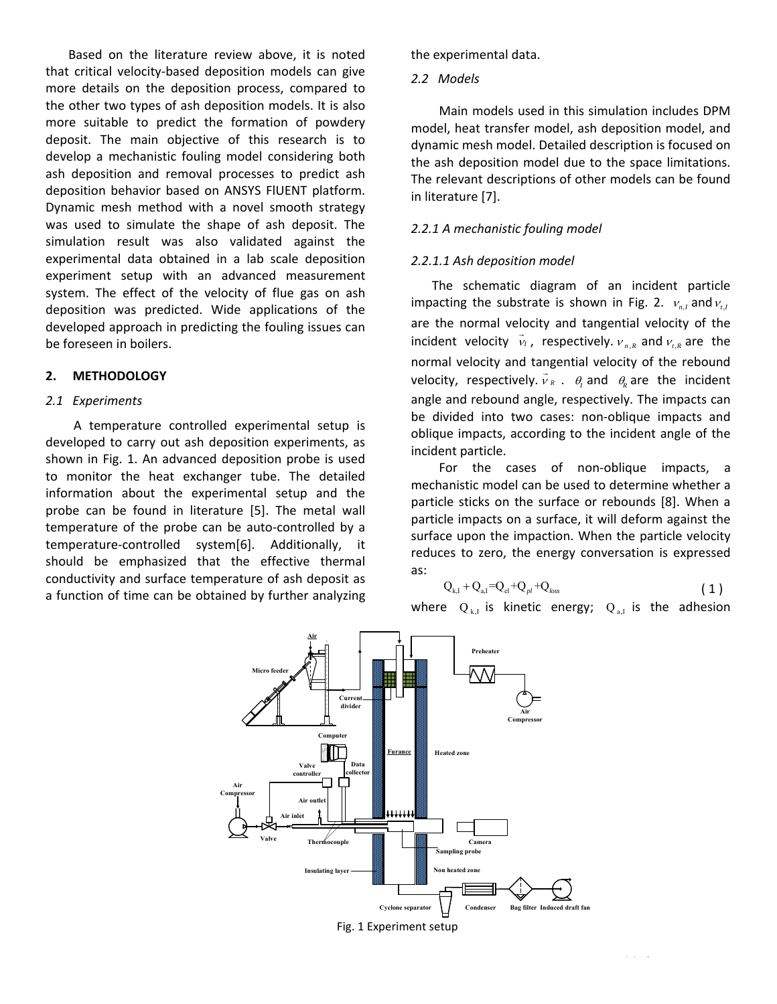Based on the literature review above, it is noted that critical velocity‐based deposition models can give more details on the deposition process, compared to the other two types of ash deposition models. It is also more suitable to predict the formation of powdery deposit. The main objective of this research is to develop a mechanistic fouling model considering both ash deposition and removal processes to predict ash deposition behavior based on ANSYS FlUENT platform. Dynamic mesh method with a novel smooth strategy was used to simulate the shape of ash deposit. The simulation result was also validated against the experimental data obtained in a lab scale deposition experiment setup with an advanced measurement system. The effect of the velocity of flue gas on ash deposition was predicted. Wide applications of the developed approach in predicting the fouling issues can be foreseen in boilers.

# **2. METHODOLOGY**

#### *2.1 Experiments*

A temperature controlled experimental setup is developed to carry out ash deposition experiments, as shown in Fig. 1. An advanced deposition probe is used to monitor the heat exchanger tube. The detailed information about the experimental setup and the probe can be found in literature [5]. The metal wall temperature of the probe can be auto‐controlled by a temperature‐controlled system[6]. Additionally, it should be emphasized that the effective thermal conductivity and surface temperature of ash deposit as a function of time can be obtained by further analyzing

the experimental data.

#### *2.2 Models*

Main models used in this simulation includes DPM model, heat transfer model, ash deposition model, and dynamic mesh model. Detailed description is focused on the ash deposition model due to the space limitations. The relevant descriptions of other models can be found in literature [7].

## *2.2.1 A mechanistic fouling model*

#### *2.2.1.1 Ash deposition model*

The schematic diagram of an incident particle impacting the substrate is shown in Fig. 2.  $v_{n,l}$  and  $v_{i,l}$ are the normal velocity and tangential velocity of the incident velocity  $\vec{v}_1$ , respectively.  $v_{n,R}$  and  $v_{t,R}$  are the normal velocity and tangential velocity of the rebound velocity, respectively.  $\vec{v}_R$ .  $\theta_l$  and  $\theta_R$  are the incident angle and rebound angle, respectively. The impacts can be divided into two cases: non‐oblique impacts and oblique impacts, according to the incident angle of the incident particle.

For the cases of non-oblique impacts, a mechanistic model can be used to determine whether a particle sticks on the surface or rebounds [8]. When a particle impacts on a surface, it will deform against the surface upon the impaction. When the particle velocity reduces to zero, the energy conversation is expressed as:

$$
Q_{k,l} + Q_{a,l} = Q_{el} + Q_{pl} + Q_{loss}
$$
 (1)

where  $Q_{k,I}$  is kinetic energy;  $Q_{k,I}$  is the adhesion

2 Copyright © 2019 ICAE 2019 ICAE 2019 ICAE 2019 ICAE 2019 ICAE 2019 ICAE 2019 ICAE 2019 ICAE 2019 ICAE 2019<br>2 Copyright © 2019 ICAE 2019 ICAE 2019 ICAE 2019 ICAE 2019 ICAE 2019 ICAE 2019 ICAE 2019 ICAE 2019 ICAE 2019

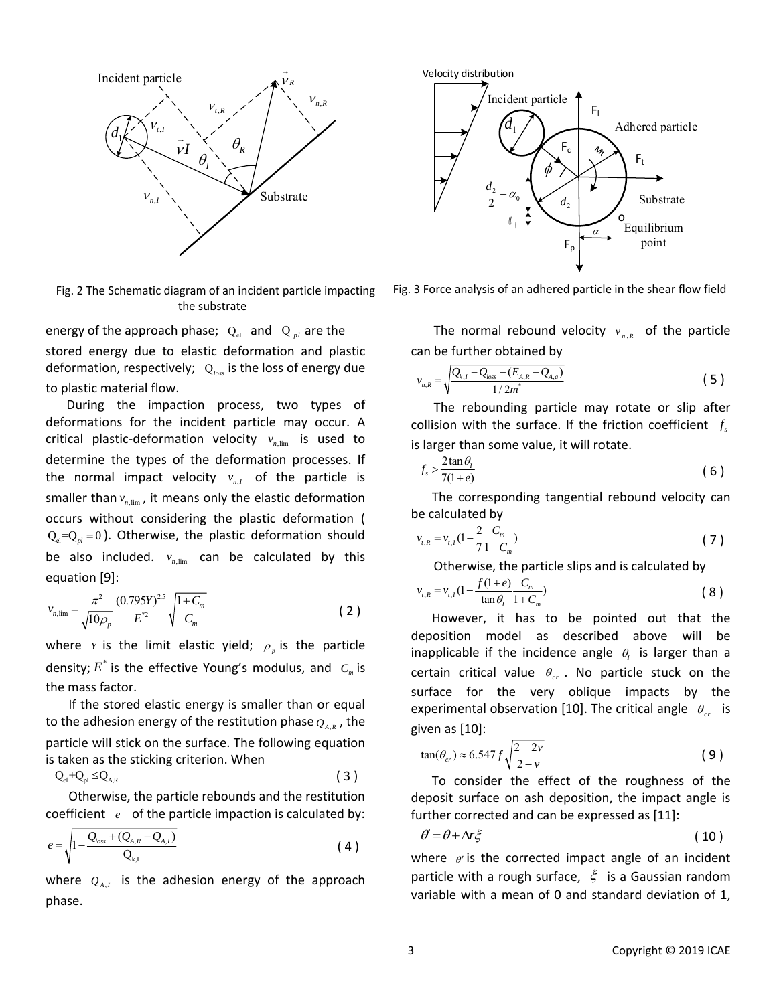

Fig. 2 The Schematic diagram of an incident particle impacting the substrate

energy of the approach phase;  $Q_{el}$  and  $Q_{pl}$  are the stored energy due to elastic deformation and plastic deformation, respectively; Q*loss* is the loss of energy due to plastic material flow.

During the impaction process, two types of deformations for the incident particle may occur. A critical plastic-deformation velocity  $v_{n,\text{lim}}$  is used to determine the types of the deformation processes. If the normal impact velocity  $v_{n,I}$  of the particle is smaller than  $v_{n\text{lim}}$ , it means only the elastic deformation occurs without considering the plastic deformation (  $Q_{el} = Q_{pl} = 0$ ). Otherwise, the plastic deformation should be also included.  $v_{n,\text{lim}}$  can be calculated by this equation [9]:

$$
v_{n,\lim} = \frac{\pi^2}{\sqrt{10\rho_p}} \frac{(0.795Y)^{2.5}}{E^{*2}} \sqrt{\frac{1+C_m}{C_m}}
$$
 (2)

where *Y* is the limit elastic yield;  $\rho$  is the particle density;  $E^*$  is the effective Young's modulus, and  $C_m$  is the mass factor.

If the stored elastic energy is smaller than or equal to the adhesion energy of the restitution phase  $Q_{A,R}$ , the particle will stick on the surface. The following equation is taken as the sticking criterion. When

$$
Q_{el} + Q_{pl} \leq Q_{A,R} \tag{3}
$$

Otherwise, the particle rebounds and the restitution coefficient *e* of the particle impaction is calculated by:

$$
e = \sqrt{1 - \frac{Q_{loss} + (Q_{A,R} - Q_{A,I})}{Q_{k,I}}}
$$
 (4)

where  $Q_{A,I}$  is the adhesion energy of the approach phase.



Fig. 3 Force analysis of an adhered particle in the shear flow field

The normal rebound velocity  $v_{n,R}$  of the particle can be further obtained by

$$
v_{n,R} = \sqrt{\frac{Q_{k,I} - Q_{loss} - (E_{A,R} - Q_{A,a})}{1/2m^*}}
$$
(5)

The rebounding particle may rotate or slip after collision with the surface. If the friction coefficient  $f_s$ is larger than some value, it will rotate.

$$
f_s > \frac{2\tan\theta_t}{7(1+e)}\tag{6}
$$

The corresponding tangential rebound velocity can be calculated by

$$
v_{i,R} = v_{i,I} \left(1 - \frac{2}{7} \frac{C_m}{1 + C_m}\right) \tag{7}
$$

Otherwise, the particle slips and is calculated by

$$
v_{t,R} = v_{t,I} \left( 1 - \frac{f(1+e)}{\tan \theta_I} \frac{C_m}{1 + C_m} \right) \tag{8}
$$

However, it has to be pointed out that the deposition model as described above will be inapplicable if the incidence angle  $\theta_i$  is larger than a certain critical value  $\theta_{cr}$ . No particle stuck on the surface for the very oblique impacts by the experimental observation [10]. The critical angle  $\theta_{cr}$  is given as [10]:

$$
\tan(\theta_{cr}) \approx 6.547 f \sqrt{\frac{2 - 2\nu}{2 - \nu}}\tag{9}
$$

To consider the effect of the roughness of the deposit surface on ash deposition, the impact angle is further corrected and can be expressed as [11]:

$$
\theta' = \theta + \Delta r \xi \tag{10}
$$

where  $\theta$  is the corrected impact angle of an incident particle with a rough surface,  $\xi$  is a Gaussian random variable with a mean of 0 and standard deviation of 1,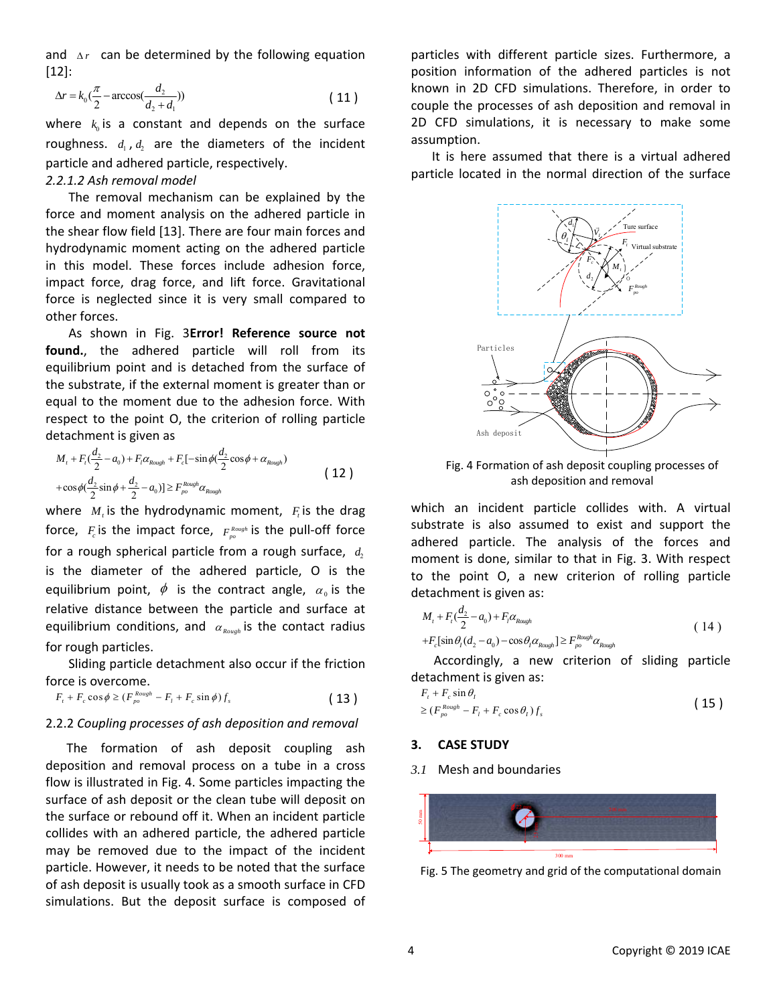and  $\Delta r$  can be determined by the following equation [12]:

$$
\Delta r = k_0 \left(\frac{\pi}{2} - \arccos\left(\frac{d_2}{d_2 + d_1}\right)\right) \tag{11}
$$

where  $k_0$  is a constant and depends on the surface roughness.  $d_1$ ,  $d_2$  are the diameters of the incident particle and adhered particle, respectively. *2.2.1.2 Ash removal model* 

The removal mechanism can be explained by the force and moment analysis on the adhered particle in the shear flow field [13]. There are four main forces and hydrodynamic moment acting on the adhered particle in this model. These forces include adhesion force, impact force, drag force, and lift force. Gravitational force is neglected since it is very small compared to other forces.

As shown in Fig. 3**Error! Reference source not**  found., the adhered particle will roll from its equilibrium point and is detached from the surface of the substrate, if the external moment is greater than or equal to the moment due to the adhesion force. With respect to the point O, the criterion of rolling particle detachment is given as

$$
M_{t} + F_{t}(\frac{d_{2}}{2} - a_{0}) + F_{t}\alpha_{Rough} + F_{c}[-\sin\phi(\frac{d_{2}}{2}\cos\phi + \alpha_{Rough}) + \cos\phi(\frac{d_{2}}{2}\sin\phi + \frac{d_{2}}{2} - a_{0})] \geq F_{po}^{Rough}\alpha_{Rough}
$$
\n(12)

where  $M_t$  is the hydrodynamic moment,  $F_t$  is the drag force,  $F_c$  is the impact force,  $F_{po}^{Rough}$  is the pull-off force for a rough spherical particle from a rough surface,  $d_2$ is the diameter of the adhered particle, O is the equilibrium point,  $\phi$  is the contract angle,  $\alpha_0$  is the relative distance between the particle and surface at equilibrium conditions, and  $\alpha_{\text{Rough}}$  is the contact radius for rough particles.

Sliding particle detachment also occur if the friction force is overcome.

$$
F_t + F_c \cos \phi \ge (F_{po}^{Rough} - F_l + F_c \sin \phi) f_s \tag{13}
$$

#### 2.2.2 *Coupling processes of ash deposition and removal*

The formation of ash deposit coupling ash deposition and removal process on a tube in a cross flow is illustrated in Fig. 4. Some particles impacting the surface of ash deposit or the clean tube will deposit on the surface or rebound off it. When an incident particle collides with an adhered particle, the adhered particle may be removed due to the impact of the incident particle. However, it needs to be noted that the surface of ash deposit is usually took as a smooth surface in CFD simulations. But the deposit surface is composed of

particles with different particle sizes. Furthermore, a position information of the adhered particles is not known in 2D CFD simulations. Therefore, in order to couple the processes of ash deposition and removal in 2D CFD simulations, it is necessary to make some assumption.

It is here assumed that there is a virtual adhered particle located in the normal direction of the surface



Fig. 4 Formation of ash deposit coupling processes of ash deposition and removal

which an incident particle collides with. A virtual substrate is also assumed to exist and support the adhered particle. The analysis of the forces and moment is done, similar to that in Fig. 3. With respect to the point O, a new criterion of rolling particle detachment is given as:

$$
M_{t} + F_{t}(\frac{d_{2}}{2} - a_{0}) + F_{t}\alpha_{\text{Rough}}
$$
  
+
$$
F_{c}[\sin\theta_{t}(d_{2} - a_{0}) - \cos\theta_{t}\alpha_{\text{Rough}}] \geq F_{po}^{\text{Rough}}\alpha_{\text{Rough}}
$$
 (14)

Accordingly, a new criterion of sliding particle detachment is given as:

$$
F_t + F_c \sin \theta_t
$$
  
\n
$$
\geq (F_{\rho o}^{Rough} - F_t + F_c \cos \theta_t) f_s
$$
\n(15)

#### **3. CASE STUDY**

*3.1* Mesh and boundaries



Fig. 5 The geometry and grid of the computational domain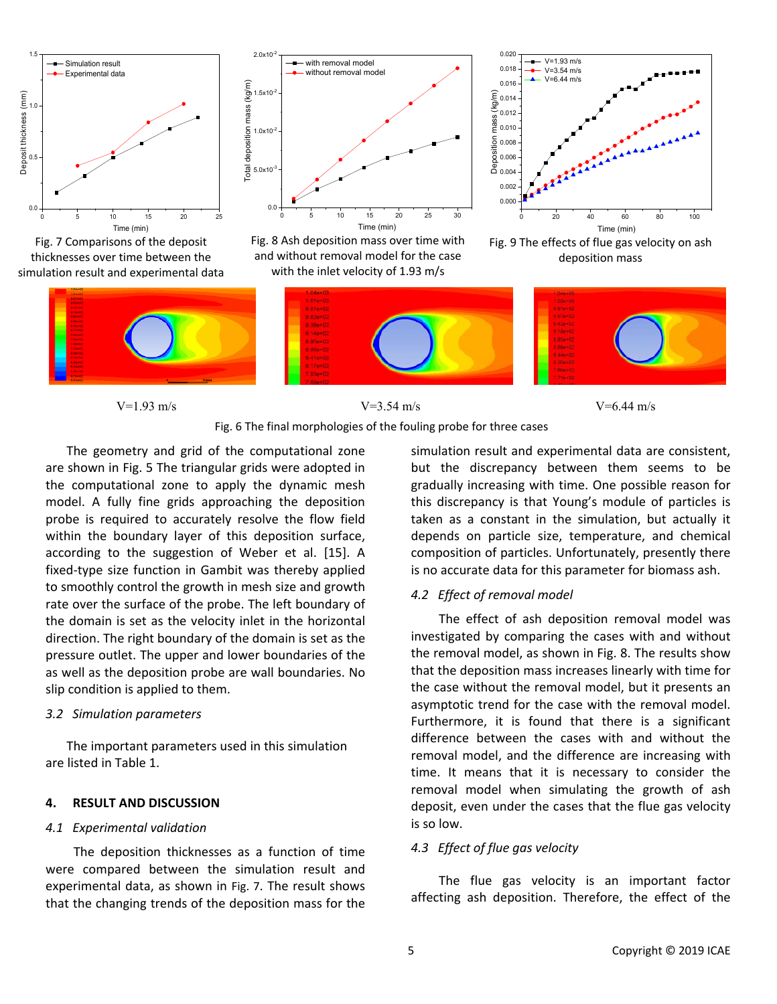

Fig. 7 Comparisons of the deposit thicknesses over time between the simulation result and experimental data



Fig. 8 Ash deposition mass over time with and without removal model for the case with the inlet velocity of 1.93 m/s







<u> 1990 - Januar Alexander de Carlos de la Carlo de la Carlo de la Carlo de la Carlo de la Carlo de la Carlo de l</u>







The geometry and grid of the computational zone are shown in Fig. 5 The triangular grids were adopted in the computational zone to apply the dynamic mesh model. A fully fine grids approaching the deposition probe is required to accurately resolve the flow field within the boundary layer of this deposition surface, according to the suggestion of Weber et al. [15]. A fixed-type size function in Gambit was thereby applied to smoothly control the growth in mesh size and growth rate over the surface of the probe. The left boundary of the domain is set as the velocity inlet in the horizontal direction. The right boundary of the domain is set as the pressure outlet. The upper and lower boundaries of the as well as the deposition probe are wall boundaries. No slip condition is applied to them.

# *3.2 Simulation parameters*

The important parameters used in this simulation are listed in Table 1.

# **4. RESULT AND DISCUSSION**

#### *4.1 Experimental validation*

 The deposition thicknesses as a function of time were compared between the simulation result and experimental data, as shown in Fig. 7. The result shows that the changing trends of the deposition mass for the

simulation result and experimental data are consistent, but the discrepancy between them seems to be gradually increasing with time. One possible reason for this discrepancy is that Young's module of particles is taken as a constant in the simulation, but actually it depends on particle size, temperature, and chemical composition of particles. Unfortunately, presently there is no accurate data for this parameter for biomass ash.

# *4.2 Effect of removal model*

 The effect of ash deposition removal model was investigated by comparing the cases with and without the removal model, as shown in Fig. 8. The results show that the deposition mass increases linearly with time for the case without the removal model, but it presents an asymptotic trend for the case with the removal model. Furthermore, it is found that there is a significant difference between the cases with and without the removal model, and the difference are increasing with time. It means that it is necessary to consider the removal model when simulating the growth of ash deposit, even under the cases that the flue gas velocity is so low.

# *4.3 Effect of flue gas velocity*

The flue gas velocity is an important factor affecting ash deposition. Therefore, the effect of the